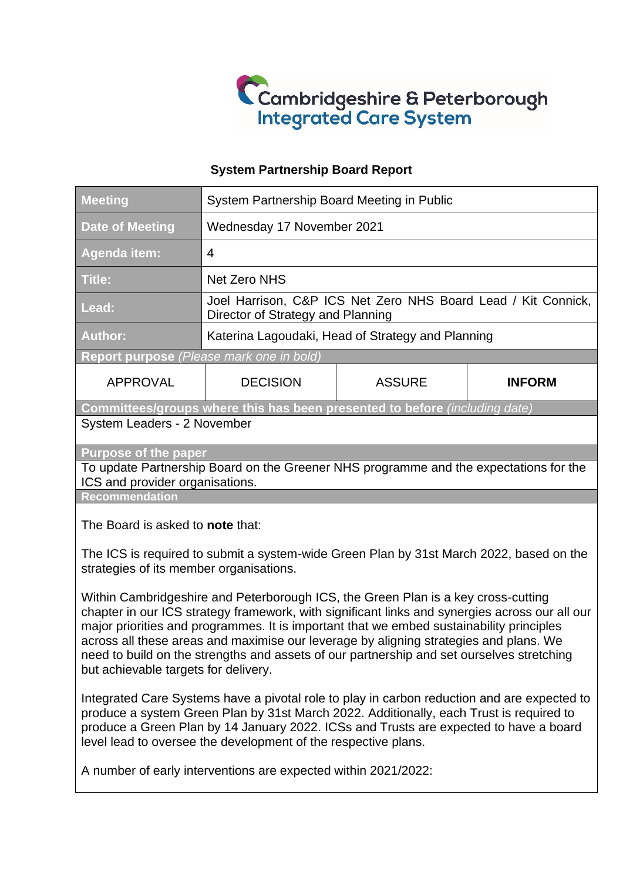

### **System Partnership Board Report**

| <b>Meeting</b>                                                                                                                                                                                                                                                                                                            | System Partnership Board Meeting in Public                                                         |               |               |  |
|---------------------------------------------------------------------------------------------------------------------------------------------------------------------------------------------------------------------------------------------------------------------------------------------------------------------------|----------------------------------------------------------------------------------------------------|---------------|---------------|--|
| <b>Date of Meeting</b>                                                                                                                                                                                                                                                                                                    | Wednesday 17 November 2021                                                                         |               |               |  |
| Agenda item:                                                                                                                                                                                                                                                                                                              | $\overline{4}$                                                                                     |               |               |  |
| Title:                                                                                                                                                                                                                                                                                                                    | <b>Net Zero NHS</b>                                                                                |               |               |  |
| Lead:                                                                                                                                                                                                                                                                                                                     | Joel Harrison, C&P ICS Net Zero NHS Board Lead / Kit Connick,<br>Director of Strategy and Planning |               |               |  |
| <b>Author:</b>                                                                                                                                                                                                                                                                                                            | Katerina Lagoudaki, Head of Strategy and Planning                                                  |               |               |  |
| Report purpose (Please mark one in bold)                                                                                                                                                                                                                                                                                  |                                                                                                    |               |               |  |
| <b>APPROVAL</b>                                                                                                                                                                                                                                                                                                           | <b>DECISION</b>                                                                                    | <b>ASSURE</b> | <b>INFORM</b> |  |
| Committees/groups where this has been presented to before (including date)                                                                                                                                                                                                                                                |                                                                                                    |               |               |  |
| System Leaders - 2 November                                                                                                                                                                                                                                                                                               |                                                                                                    |               |               |  |
| <b>Purpose of the paper</b>                                                                                                                                                                                                                                                                                               |                                                                                                    |               |               |  |
| To update Partnership Board on the Greener NHS programme and the expectations for the<br>ICS and provider organisations.                                                                                                                                                                                                  |                                                                                                    |               |               |  |
| <b>Recommendation</b>                                                                                                                                                                                                                                                                                                     |                                                                                                    |               |               |  |
| The Board is asked to note that:                                                                                                                                                                                                                                                                                          |                                                                                                    |               |               |  |
| The ICS is required to submit a system-wide Green Plan by 31st March 2022, based on the<br>the contribution of the contribution of the contribution of the contribution of the contribution of the contribution of the contribution of the contribution of the contribution of the contribution of the contribution of th |                                                                                                    |               |               |  |

strategies of its member organisations.

Within Cambridgeshire and Peterborough ICS, the Green Plan is a key cross-cutting chapter in our ICS strategy framework, with significant links and synergies across our all our major priorities and programmes. It is important that we embed sustainability principles across all these areas and maximise our leverage by aligning strategies and plans. We need to build on the strengths and assets of our partnership and set ourselves stretching but achievable targets for delivery.

Integrated Care Systems have a pivotal role to play in carbon reduction and are expected to produce a system Green Plan by 31st March 2022. Additionally, each Trust is required to produce a Green Plan by 14 January 2022. ICSs and Trusts are expected to have a board level lead to oversee the development of the respective plans.

A number of early interventions are expected within 2021/2022: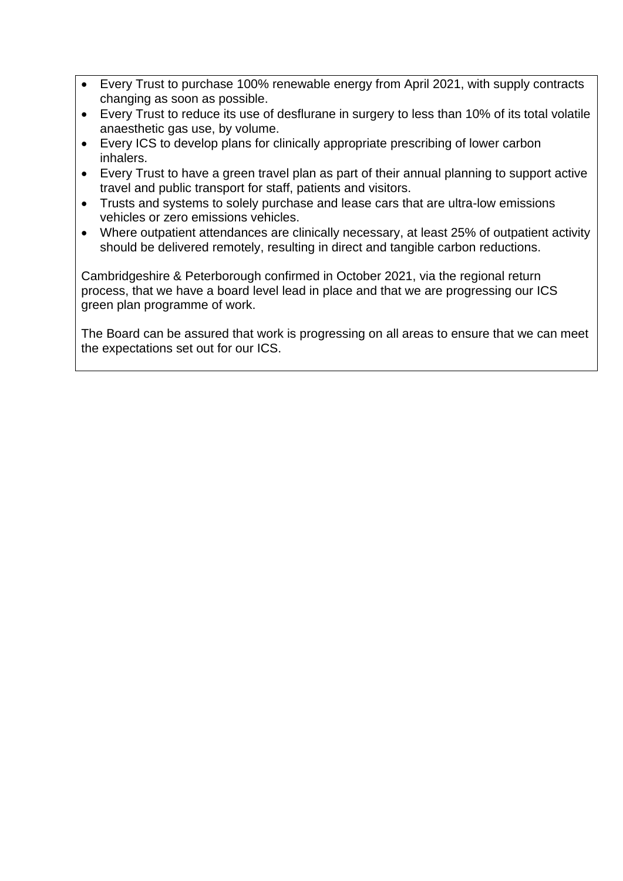- Every Trust to purchase 100% renewable energy from April 2021, with supply contracts changing as soon as possible.
- Every Trust to reduce its use of desflurane in surgery to less than 10% of its total volatile anaesthetic gas use, by volume.
- Every ICS to develop plans for clinically appropriate prescribing of lower carbon inhalers.
- Every Trust to have a green travel plan as part of their annual planning to support active travel and public transport for staff, patients and visitors.
- Trusts and systems to solely purchase and lease cars that are ultra-low emissions vehicles or zero emissions vehicles.
- Where outpatient attendances are clinically necessary, at least 25% of outpatient activity should be delivered remotely, resulting in direct and tangible carbon reductions.

Cambridgeshire & Peterborough confirmed in October 2021, via the regional return process, that we have a board level lead in place and that we are progressing our ICS green plan programme of work.

The Board can be assured that work is progressing on all areas to ensure that we can meet the expectations set out for our ICS.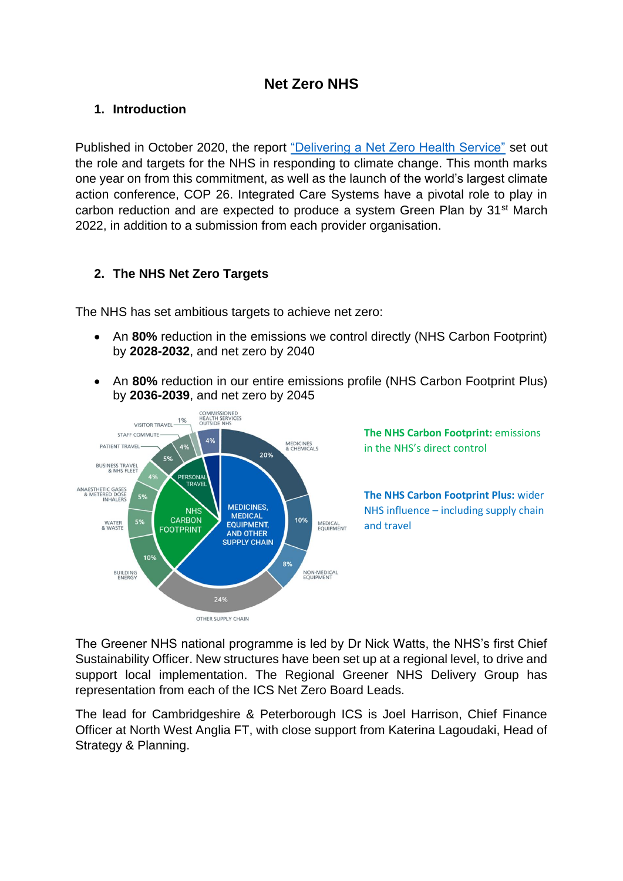# **Net Zero NHS**

## **1. Introduction**

Published in October 2020, the report ["Delivering a Net Zero Health Service"](https://www.england.nhs.uk/greenernhs/a-net-zero-nhs/) set out the role and targets for the NHS in responding to climate change. This month marks one year on from this commitment, as well as the launch of the world's largest climate action conference, COP 26. Integrated Care Systems have a pivotal role to play in carbon reduction and are expected to produce a system Green Plan by 31<sup>st</sup> March 2022, in addition to a submission from each provider organisation.

## **2. The NHS Net Zero Targets**

The NHS has set ambitious targets to achieve net zero:

- An **80%** reduction in the emissions we control directly (NHS Carbon Footprint) by **2028-2032**, and net zero by 2040
- An **80%** reduction in our entire emissions profile (NHS Carbon Footprint Plus) by **2036-2039**, and net zero by 2045



The Greener NHS national programme is led by Dr Nick Watts, the NHS's first Chief Sustainability Officer. New structures have been set up at a regional level, to drive and support local implementation. The Regional Greener NHS Delivery Group has representation from each of the ICS Net Zero Board Leads.

The lead for Cambridgeshire & Peterborough ICS is Joel Harrison, Chief Finance Officer at North West Anglia FT, with close support from Katerina Lagoudaki, Head of Strategy & Planning.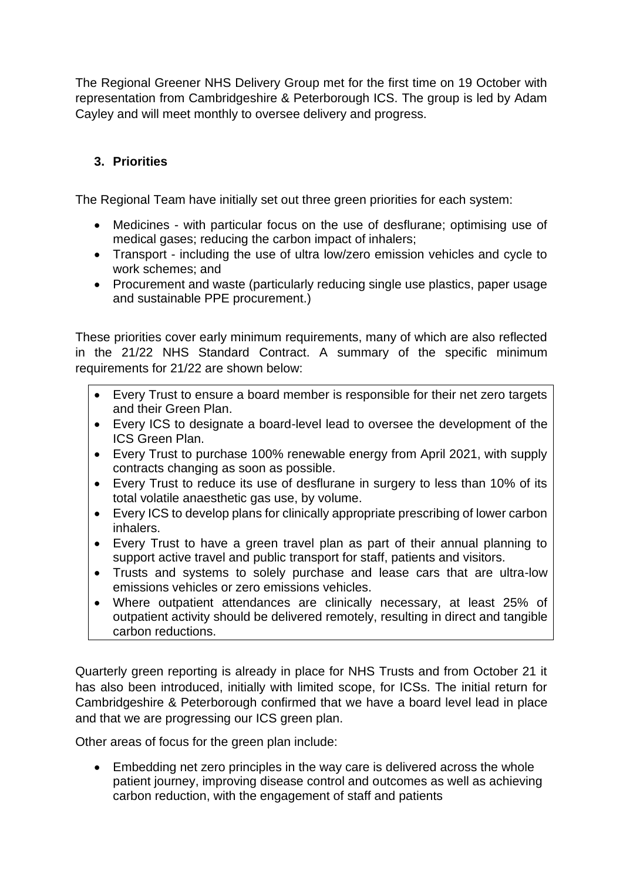The Regional Greener NHS Delivery Group met for the first time on 19 October with representation from Cambridgeshire & Peterborough ICS. The group is led by Adam Cayley and will meet monthly to oversee delivery and progress.

# **3. Priorities**

The Regional Team have initially set out three green priorities for each system:

- Medicines with particular focus on the use of desflurane; optimising use of medical gases; reducing the carbon impact of inhalers;
- Transport including the use of ultra low/zero emission vehicles and cycle to work schemes; and
- Procurement and waste (particularly reducing single use plastics, paper usage and sustainable PPE procurement.)

These priorities cover early minimum requirements, many of which are also reflected in the 21/22 NHS Standard Contract. A summary of the specific minimum requirements for 21/22 are shown below:

- Every Trust to ensure a board member is responsible for their net zero targets and their Green Plan.
- Every ICS to designate a board-level lead to oversee the development of the ICS Green Plan.
- Every Trust to purchase 100% renewable energy from April 2021, with supply contracts changing as soon as possible.
- Every Trust to reduce its use of desflurane in surgery to less than 10% of its total volatile anaesthetic gas use, by volume.
- Every ICS to develop plans for clinically appropriate prescribing of lower carbon inhalers.
- Every Trust to have a green travel plan as part of their annual planning to support active travel and public transport for staff, patients and visitors.
- Trusts and systems to solely purchase and lease cars that are ultra-low emissions vehicles or zero emissions vehicles.
- Where outpatient attendances are clinically necessary, at least 25% of outpatient activity should be delivered remotely, resulting in direct and tangible carbon reductions.

Quarterly green reporting is already in place for NHS Trusts and from October 21 it has also been introduced, initially with limited scope, for ICSs. The initial return for Cambridgeshire & Peterborough confirmed that we have a board level lead in place and that we are progressing our ICS green plan.

Other areas of focus for the green plan include:

• Embedding net zero principles in the way care is delivered across the whole patient journey, improving disease control and outcomes as well as achieving carbon reduction, with the engagement of staff and patients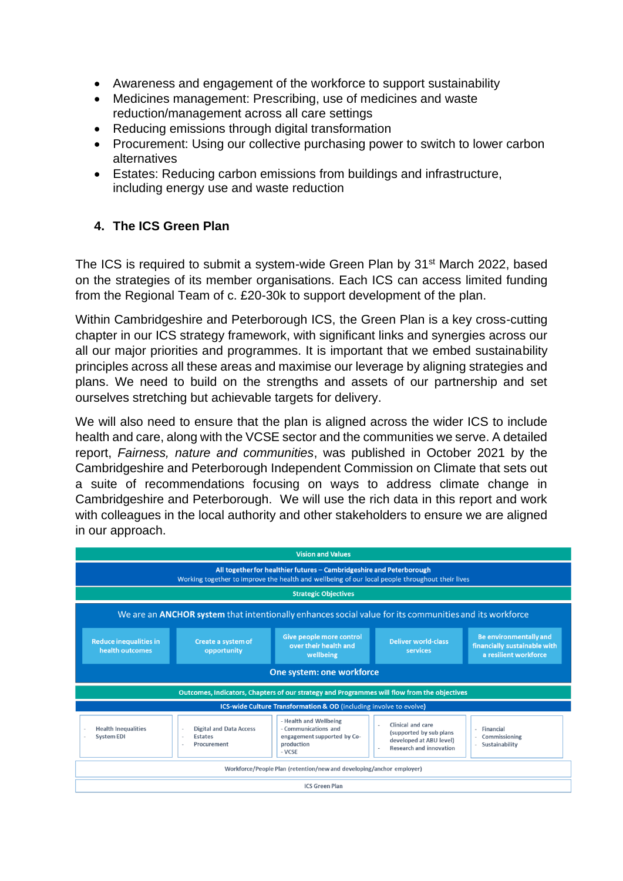- Awareness and engagement of the workforce to support sustainability
- Medicines management: Prescribing, use of medicines and waste reduction/management across all care settings
- Reducing emissions through digital transformation
- Procurement: Using our collective purchasing power to switch to lower carbon alternatives
- Estates: Reducing carbon emissions from buildings and infrastructure, including energy use and waste reduction

## **4. The ICS Green Plan**

The ICS is required to submit a system-wide Green Plan by 31<sup>st</sup> March 2022, based on the strategies of its member organisations. Each ICS can access limited funding from the Regional Team of c. £20-30k to support development of the plan.

Within Cambridgeshire and Peterborough ICS, the Green Plan is a key cross-cutting chapter in our ICS strategy framework, with significant links and synergies across our all our major priorities and programmes. It is important that we embed sustainability principles across all these areas and maximise our leverage by aligning strategies and plans. We need to build on the strengths and assets of our partnership and set ourselves stretching but achievable targets for delivery.

We will also need to ensure that the plan is aligned across the wider ICS to include health and care, along with the VCSE sector and the communities we serve. A detailed report, *Fairness, nature and communities*, was published in October 2021 by the Cambridgeshire and Peterborough Independent Commission on Climate that sets out a suite of recommendations focusing on ways to address climate change in Cambridgeshire and Peterborough. We will use the rich data in this report and work with colleagues in the local authority and other stakeholders to ensure we are aligned in our approach.